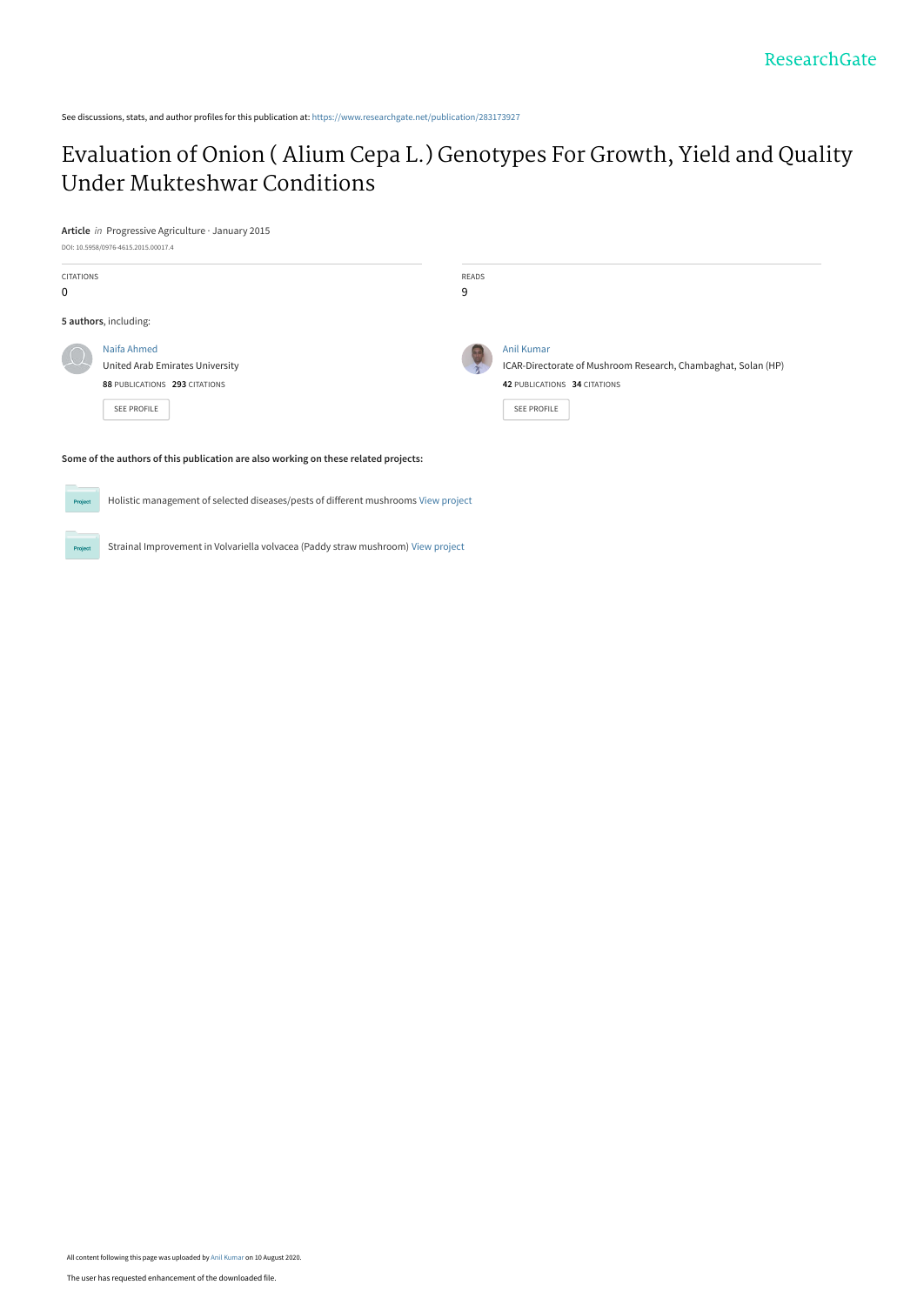See discussions, stats, and author profiles for this publication at: [https://www.researchgate.net/publication/283173927](https://www.researchgate.net/publication/283173927_Evaluation_of_Onion_Alium_Cepa_L_Genotypes_For_Growth_Yield_and_Quality_Under_Mukteshwar_Conditions?enrichId=rgreq-e5a148f1857b53b3e138a14adea2adba-XXX&enrichSource=Y292ZXJQYWdlOzI4MzE3MzkyNztBUzo5MjI4ODIwOTU5ODA1NDRAMTU5NzA0MzY0NjM0NA%3D%3D&el=1_x_2&_esc=publicationCoverPdf)

## [Evaluation of Onion \( Alium Cepa L.\) Genotypes For Growth, Yield and Quality](https://www.researchgate.net/publication/283173927_Evaluation_of_Onion_Alium_Cepa_L_Genotypes_For_Growth_Yield_and_Quality_Under_Mukteshwar_Conditions?enrichId=rgreq-e5a148f1857b53b3e138a14adea2adba-XXX&enrichSource=Y292ZXJQYWdlOzI4MzE3MzkyNztBUzo5MjI4ODIwOTU5ODA1NDRAMTU5NzA0MzY0NjM0NA%3D%3D&el=1_x_3&_esc=publicationCoverPdf) Under Mukteshwar Conditions

**Article** in Progressive Agriculture · January 2015

Proj

Proj



Holistic management of selected diseases/pests of different mushrooms [View project](https://www.researchgate.net/project/Holistic-management-of-selected-diseases-pests-of-different-mushrooms?enrichId=rgreq-e5a148f1857b53b3e138a14adea2adba-XXX&enrichSource=Y292ZXJQYWdlOzI4MzE3MzkyNztBUzo5MjI4ODIwOTU5ODA1NDRAMTU5NzA0MzY0NjM0NA%3D%3D&el=1_x_9&_esc=publicationCoverPdf)

Strainal Improvement in Volvariella volvacea (Paddy straw mushroom) [View project](https://www.researchgate.net/project/Strainal-Improvement-in-Volvariella-volvacea-Paddy-straw-mushroom?enrichId=rgreq-e5a148f1857b53b3e138a14adea2adba-XXX&enrichSource=Y292ZXJQYWdlOzI4MzE3MzkyNztBUzo5MjI4ODIwOTU5ODA1NDRAMTU5NzA0MzY0NjM0NA%3D%3D&el=1_x_9&_esc=publicationCoverPdf)